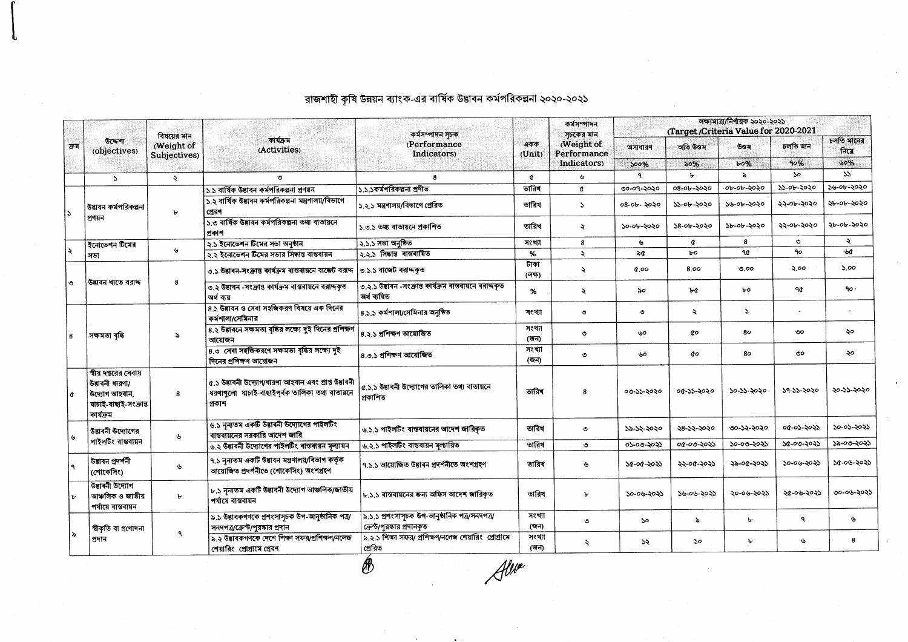| ক্ৰম | উদ্দেশ্য<br>(objectives)                                                                        | বিষয়ের মান<br>(Weight of<br>Subjectives) | কাৰ্যক্ৰম<br>(Activities)                                                                                         | কৰ্মসম্পাদন সচক<br>(Performance<br>Indicators)                              | একক<br>(Unit)  | কৰ্মসম্পাদন<br>সচকের মান<br>(Weight of<br>Performance<br>Indicators) | লক্ষ্যমাত্ৰা/নিৰ্ণায়ক ২০২০-২০২১<br>(Target /Criteria Value for 2020-2021 |                     |              |            |                    |
|------|-------------------------------------------------------------------------------------------------|-------------------------------------------|-------------------------------------------------------------------------------------------------------------------|-----------------------------------------------------------------------------|----------------|----------------------------------------------------------------------|---------------------------------------------------------------------------|---------------------|--------------|------------|--------------------|
|      |                                                                                                 |                                           |                                                                                                                   |                                                                             |                |                                                                      | অসাধারণ                                                                   | অতি উত্তম           | Goa          | চলতি মান   | চলতি মানের<br>নিমে |
|      |                                                                                                 |                                           |                                                                                                                   |                                                                             |                |                                                                      | 500%                                                                      | 50%                 | b0%          | 90%        | 50%                |
|      | $\Delta$                                                                                        | $\ddot{\mathbf{z}}$                       | $\mathcal{L}$                                                                                                     | 8                                                                           | $\alpha$       | یل                                                                   | ٩                                                                         | ь.                  | $\lambda$    | <b>So</b>  | 55                 |
|      | উদ্ভাবন কৰ্মপরিকল্পনা<br>প্ৰণয়ন                                                                | Ъ                                         | ১.১ বাৰ্ষিক উদ্ভাবন কৰ্মপত্তিকল্পনা প্ৰণয়ন                                                                       | ১.১.১কর্মপরিকল্পনা প্রণীত                                                   | তারিখ          | ¢                                                                    | ৩০-০৭-২০২০                                                                | ০৪-০৮-২০২০          | ০৮-০৮-২০২০   | ১১-০৮-২০২০ | ১৬-০৮-২০২০         |
|      |                                                                                                 |                                           | ১.২ বাৰ্ষিক উদ্ভাবন কৰ্মপৰিকল্পনা মন্ত্ৰণালয়/বিভাগে<br>প্ৰেৱণ                                                    | <sup>l</sup> ১.২.১ মন্ত্রণালয়/বিভাগে প্রেরিত                               | তারিখ          | $\mathbf{A}$                                                         | ০৪-০৮- ২০২০                                                               | ১১-০৮-২০২০          | ১৬-০৮-২০২০   | ২২-০৮-২০২০ | ২৮-০৮-২০২০         |
|      |                                                                                                 |                                           | ১.৩ বাৰ্ষিক উদ্ভাবন কৰ্মপরিকল্পনা তথ্য বাতায়নে<br>প্ৰকাশ                                                         | ১.৩.১ তথ্য ৰাতায়নে প্ৰকাশিত                                                | তারিখ          | $\ddot{\mathbf{z}}$                                                  | ১০-০৮-২০২০                                                                | ১৪-০৮-২০২০          | ১৮-০৮-২০২০   | ২২-০৮-২০২০ | ২৮-০৮-২০২০         |
|      | ইনোভেশন টিমের<br>সভা                                                                            | ىل                                        | ২.১ ইনোভেশন টিমের সভা অনুষ্ঠান                                                                                    | ২.১.১ সভা অনুষ্ঠিত                                                          | সংখ্যা         | 8                                                                    | $\mathbf{c}$                                                              | ¢                   | 8            | ৩          | ₹                  |
|      |                                                                                                 |                                           | ১১ ইনোভেশন টিমের সভার সিদ্ধান্ত বাস্তবায়ন                                                                        | ২.২.১ সিদ্ধান্ত বাস্তবায়িত                                                 | $\%$           | $\lambda$                                                            | $\delta d$                                                                | bo                  | 90           | 90         | ৬৫                 |
|      | উদ্ভাৰন খাতে বরাদ্দ                                                                             | 8                                         | ৩.১ উদ্ভাবন-সংক্রান্ত কার্যক্রম বাস্তবায়নে বাজেট বরাদ্দ                                                          | ৩.১.১ বাজেট বরাদ্দকৃত                                                       | টাকা<br>(লক্ষ) | $\ddot{\mathbf{z}}$                                                  | 0.00                                                                      | 8.00                | 0.00         | ২.০০       | 5.00               |
|      |                                                                                                 |                                           | ৩.২ উষ্টাৰন -সংক্ৰান্ত কাৰ্যক্ৰম বাস্তবায়নে বরাদ্দকৃত<br>অৰ্থ বায়                                               | ৩.২.১ উদ্ভাবন -সংক্রান্ত কার্যক্রম বাস্তবায়নে বরাদ্দকৃত<br>অৰ্থ বায়িত     | %              | $\ddot{\mathbf{z}}$                                                  | ৯০                                                                        | ሁረ                  | bo           | 90         | ٩o٠                |
|      | সক্ষমতা বৃদ্ধি                                                                                  | ৯                                         | 8.১ উদ্ভাবন ও সেবা সহজিকরণ বিষয়ে এক দিনের<br>কর্মশালা/সেমিনার                                                    | ৪.১.১ কর্মশালা/সেমিনার অনুষ্ঠিত                                             | সংখ্যা         | $\circ$                                                              | $\circ$                                                                   | $\ddot{\mathbf{z}}$ | $\mathbf{S}$ |            | $\bullet$          |
|      |                                                                                                 |                                           | ৪.২ উদ্ভাবনে সক্ষমতা বৃদ্ধির লক্ষ্যে দুই দিনের প্রশিক্ষণ<br>আয়োজন                                                | ৪.২.১ প্ৰশিক্ষণ আয়োজিত                                                     | সংখ্যা<br>(জন) | ৩                                                                    | ৬০                                                                        | co                  | 80           | ৩০         | ২০                 |
|      |                                                                                                 |                                           | 8.0 সেবা সহজিকরণে সক্ষমতা বৃদ্ধির লক্ষ্যে দুই<br>দিনের প্রশিক্ষণ আয়োজন                                           | ৪.৩.১ প্ৰশিক্ষণ আয়োজিত                                                     | সংখ্যা<br>(জন) | ৩                                                                    | ৬০                                                                        | âо                  | 80           | ৩০         | ২০                 |
|      | স্বীয় দপ্তরের সেবায়<br>উদ্ভাবনী ধারণা/<br>উদ্যোগ আহবান,<br>যাচাই-বাছাই-সংক্ৰান্ত<br>কাৰ্যক্ৰম | 8                                         | ৫.১ উদ্ভাবনী উদ্যোগ/ধারণা আহবান এবং প্রাপ্ত উদ্ভাবনী<br>ধরণাগুলো যাচাই-বাছাইপূর্বক তালিকা তথ্য বাতায়নে<br>প্ৰকাশ | ৫.১.১ উদ্ভাবনী উদ্যোগের তালিকা তথ্য বাতায়নে<br>প্ৰকাশিত                    | তারিখ          | я                                                                    | ০৩-১১-২০২০                                                                | 04-22-2020          | ১০-১১-২০২০   | ১৭-১১-২০২০ | ২০-১১-২০২০         |
|      | উদ্ভাবনী উদ্যোগের                                                                               | G                                         | ৬.১ নন্যতম একটি উদ্ভাবনী উদ্যোগের পাইলটিং<br>বাস্তবায়নের সরকারি আদেশ জারি                                        | ৬.১.১ পাইলটিং বাস্তবায়নের আদেশ জারিকৃত                                     | তারিখ          | ৩                                                                    | ১৯-১২-২০২০                                                                | ২৪-১২-২০২০          | ৩০-১২-২০২০   | ০৫-০১-২০২১ | ১০-০১-২০২১         |
|      | পাইলটিং বাস্তবায়ন                                                                              |                                           | ৬.২ উদ্ভাবনী উদ্যোগের পাইলটিং বাস্তবায়ন মূল্যায়ন                                                                | ৬.২.১ পাইলটিং বাস্তবায়ন মূল্যায়িত                                         | তারিখ          | Ó                                                                    | ০১-০৩-২০২১                                                                | ০৫-০৩-২০২১          | ১০-০৩-২০২১   | ১৫-০৩-২০২১ | ১৯-০৩-২০২১         |
|      | উদ্ভাবন প্ৰদৰ্শনী<br>(শোকেসিং)                                                                  | $\mathbf{v}$                              | ৭.১ নৃন্যতম একটি উদ্ভাবন মন্ত্ৰণালয়/বিভাগ কৰ্তৃক<br>আয়েজিত প্ৰদৰ্শনীতে (শোকেসিং) অংশগ্ৰহণ                       | ৭.১.১ আয়োজিত উদ্ভাবন প্ৰদৰ্শনীতে অংশগ্ৰহণ                                  | তারিখ          | P.                                                                   | ১৫-০৫-২০২১                                                                | ২২-০৫-২০২১          | ২৯-০৫-২০২১   | ১০-০৬-২০২১ | ১৫-০৬-২০২১         |
|      | উদ্ভাবনী উদ্যোগ<br>আঞ্চলিক ও জাতীয়<br>পৰ্যায়ে বাস্তবায়ন                                      | $\mathbf{r}$                              | ৮.১ নূন্যতম একটি উদ্ভাবনী উদ্যোগ আঞ্চলিক/জাতীয়<br>পৰ্যায়ে বাস্তবায়ন                                            | ৮.১.১ বাস্তবায়নের জন্য অফিস আদেশ জারিকৃত                                   | তারিখ          | Ъ                                                                    | ১০-০৬-২০২১                                                                | ১৬-০৬-২০২১          | ২০-০৬-২০২১   | ২৫-০৬-২০২১ | ৩০-০৬-২০২১         |
|      | স্বীকৃতি বা প্ৰণোদনা<br>প্ৰদান                                                                  | ٩                                         | ৯.১ উদ্ভাবকগণকে প্ৰশংসাসূচক উপ-আনুষ্ঠানিক পত্ৰ/<br>সনদপত্র/ক্রেন্ট/পুরস্কার প্রদান                                | ৯.১.১ প্রশংসাসূচক উপ-আনুষ্ঠানিক পত্র/সনদপত্র/<br>ক্রেন্ট/পুরস্কার প্রদানকৃত | সংখ্যা<br>(জন) | $\circ$                                                              | ১০                                                                        | $\lambda$           | Ъ            | ٩          | ৬                  |
|      |                                                                                                 |                                           | ৯.২ উদ্ভাবকগণকে দেশে শিক্ষা সফর/প্রশিক্ষণ/নলেজ<br>শেয়ারিং প্রোগ্রামে প্রেরণ                                      | ৯.২.১ শিক্ষা সফর/ প্রশিক্ষণ/নলেজ শেয়ারিং প্রোগ্রামে<br>প্ৰেৰিত             | সংখ্যা<br>(জন) | $\mathcal{R}$                                                        | ১২                                                                        | 5o                  | ъ.           | P          | 8                  |

রাজশাহী কৃষি উন্নয়ন ব্যাংক-এর বার্ষিক উদ্ভাবন কর্মপরিকল্পনা ২০২০-২০২১

Alwe